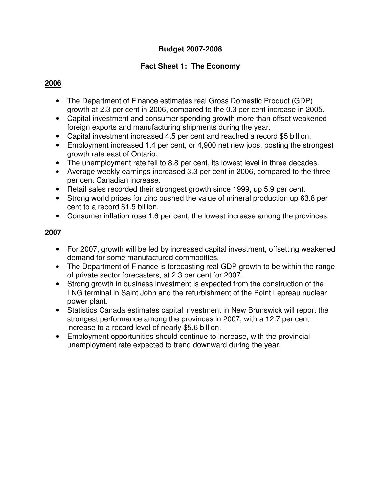# **Fact Sheet 1: The Economy**

## **2006**

- The Department of Finance estimates real Gross Domestic Product (GDP) growth at 2.3 per cent in 2006, compared to the 0.3 per cent increase in 2005.
- Capital investment and consumer spending growth more than offset weakened foreign exports and manufacturing shipments during the year.
- Capital investment increased 4.5 per cent and reached a record \$5 billion.
- Employment increased 1.4 per cent, or 4,900 net new jobs, posting the strongest growth rate east of Ontario.
- The unemployment rate fell to 8.8 per cent, its lowest level in three decades.
- Average weekly earnings increased 3.3 per cent in 2006, compared to the three per cent Canadian increase.
- Retail sales recorded their strongest growth since 1999, up 5.9 per cent.
- Strong world prices for zinc pushed the value of mineral production up 63.8 per cent to a record \$1.5 billion.
- Consumer inflation rose 1.6 per cent, the lowest increase among the provinces.

# **2007**

- For 2007, growth will be led by increased capital investment, offsetting weakened demand for some manufactured commodities.
- The Department of Finance is forecasting real GDP growth to be within the range of private sector forecasters, at 2.3 per cent for 2007.
- Strong growth in business investment is expected from the construction of the LNG terminal in Saint John and the refurbishment of the Point Lepreau nuclear power plant.
- Statistics Canada estimates capital investment in New Brunswick will report the strongest performance among the provinces in 2007, with a 12.7 per cent increase to a record level of nearly \$5.6 billion.
- Employment opportunities should continue to increase, with the provincial unemployment rate expected to trend downward during the year.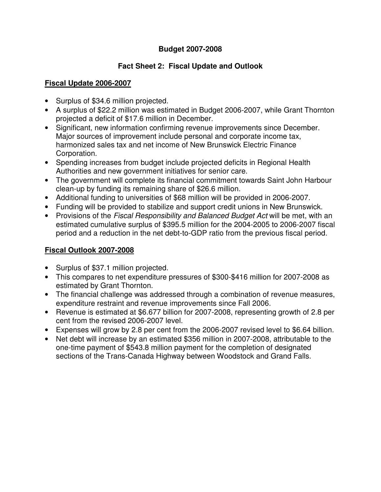## **Fact Sheet 2: Fiscal Update and Outlook**

## **Fiscal Update 2006-2007**

- Surplus of \$34.6 million projected.
- A surplus of \$22.2 million was estimated in Budget 2006-2007, while Grant Thornton projected a deficit of \$17.6 million in December.
- Significant, new information confirming revenue improvements since December. Major sources of improvement include personal and corporate income tax, harmonized sales tax and net income of New Brunswick Electric Finance Corporation.
- Spending increases from budget include projected deficits in Regional Health Authorities and new government initiatives for senior care.
- The government will complete its financial commitment towards Saint John Harbour clean-up by funding its remaining share of \$26.6 million.
- Additional funding to universities of \$68 million will be provided in 2006-2007.
- Funding will be provided to stabilize and support credit unions in New Brunswick.
- Provisions of the *Fiscal Responsibility and Balanced Budget Act* will be met, with an estimated cumulative surplus of \$395.5 million for the 2004-2005 to 2006-2007 fiscal period and a reduction in the net debt-to-GDP ratio from the previous fiscal period.

## **Fiscal Outlook 2007-2008**

- Surplus of \$37.1 million projected.
- This compares to net expenditure pressures of \$300-\$416 million for 2007-2008 as estimated by Grant Thornton.
- The financial challenge was addressed through a combination of revenue measures, expenditure restraint and revenue improvements since Fall 2006.
- Revenue is estimated at \$6.677 billion for 2007-2008, representing growth of 2.8 per cent from the revised 2006-2007 level.
- Expenses will grow by 2.8 per cent from the 2006-2007 revised level to \$6.64 billion.
- Net debt will increase by an estimated \$356 million in 2007-2008, attributable to the one-time payment of \$543.8 million payment for the completion of designated sections of the Trans-Canada Highway between Woodstock and Grand Falls.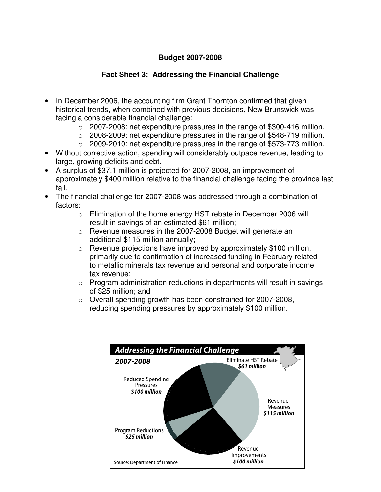## **Fact Sheet 3: Addressing the Financial Challenge**

- In December 2006, the accounting firm Grant Thornton confirmed that given historical trends, when combined with previous decisions, New Brunswick was facing a considerable financial challenge:
	- $\circ$  2007-2008: net expenditure pressures in the range of \$300-416 million.
	- $\circ$  2008-2009: net expenditure pressures in the range of \$548-719 million.
	- $\circ$  2009-2010: net expenditure pressures in the range of \$573-773 million.
- Without corrective action, spending will considerably outpace revenue, leading to large, growing deficits and debt.
- A surplus of \$37.1 million is projected for 2007-2008, an improvement of approximately \$400 million relative to the financial challenge facing the province last fall.
- The financial challenge for 2007-2008 was addressed through a combination of factors:
	- o Elimination of the home energy HST rebate in December 2006 will result in savings of an estimated \$61 million;
	- o Revenue measures in the 2007-2008 Budget will generate an additional \$115 million annually;
	- o Revenue projections have improved by approximately \$100 million, primarily due to confirmation of increased funding in February related to metallic minerals tax revenue and personal and corporate income tax revenue;
	- $\circ$  Program administration reductions in departments will result in savings of \$25 million; and
	- o Overall spending growth has been constrained for 2007-2008, reducing spending pressures by approximately \$100 million.

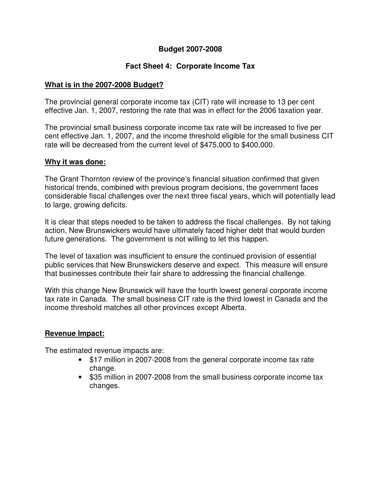### **Fact Sheet 4: Corporate Income Tax**

#### **What is in the 2007-2008 Budget?**

The provincial general corporate income tax (CIT) rate will increase to 13 per cent effective Jan. 1, 2007, restoring the rate that was in effect for the 2006 taxation year.

The provincial small business corporate income tax rate will be increased to five per cent effective Jan. 1, 2007, and the income threshold eligible for the small business CIT rate will be decreased from the current level of \$475,000 to \$400,000.

#### **Why it was done:**

The Grant Thornton review of the province's financial situation confirmed that given historical trends, combined with previous program decisions, the government faces considerable fiscal challenges over the next three fiscal years, which will potentially lead to large, growing deficits.

It is clear that steps needed to be taken to address the fiscal challenges. By not taking action, New Brunswickers would have ultimately faced higher debt that would burden future generations. The government is not willing to let this happen.

The level of taxation was insufficient to ensure the continued provision of essential public services that New Brunswickers deserve and expect. This measure will ensure that businesses contribute their fair share to addressing the financial challenge.

With this change New Brunswick will have the fourth lowest general corporate income tax rate in Canada. The small business CIT rate is the third lowest in Canada and the income threshold matches all other provinces except Alberta.

#### **Revenue Impact:**

The estimated revenue impacts are:

- \$17 million in 2007-2008 from the general corporate income tax rate change.
- \$35 million in 2007-2008 from the small business corporate income tax changes.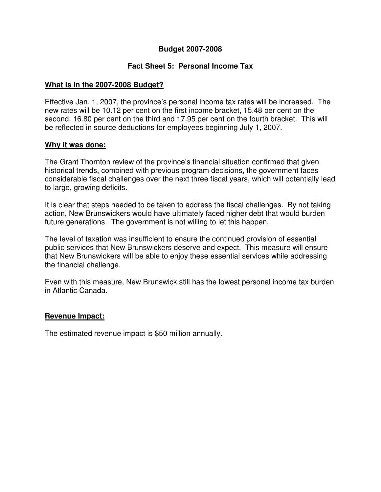#### **Fact Sheet 5: Personal Income Tax**

#### **What is in the 2007-2008 Budget?**

Effective Jan. 1, 2007, the province's personal income tax rates will be increased. The new rates will be 10.12 per cent on the first income bracket, 15.48 per cent on the second, 16.80 per cent on the third and 17.95 per cent on the fourth bracket. This will be reflected in source deductions for employees beginning July 1, 2007.

#### **Why it was done:**

The Grant Thornton review of the province's financial situation confirmed that given historical trends, combined with previous program decisions, the government faces considerable fiscal challenges over the next three fiscal years, which will potentially lead to large, growing deficits.

It is clear that steps needed to be taken to address the fiscal challenges. By not taking action, New Brunswickers would have ultimately faced higher debt that would burden future generations. The government is not willing to let this happen.

The level of taxation was insufficient to ensure the continued provision of essential public services that New Brunswickers deserve and expect. This measure will ensure that New Brunswickers will be able to enjoy these essential services while addressing the financial challenge.

Even with this measure, New Brunswick still has the lowest personal income tax burden in Atlantic Canada.

#### **Revenue Impact:**

The estimated revenue impact is \$50 million annually.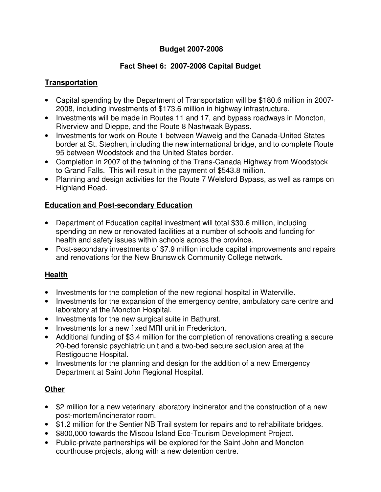## **Fact Sheet 6: 2007-2008 Capital Budget**

#### **Transportation**

- Capital spending by the Department of Transportation will be \$180.6 million in 2007- 2008, including investments of \$173.6 million in highway infrastructure.
- Investments will be made in Routes 11 and 17, and bypass roadways in Moncton, Riverview and Dieppe, and the Route 8 Nashwaak Bypass.
- Investments for work on Route 1 between Waweig and the Canada-United States border at St. Stephen, including the new international bridge, and to complete Route 95 between Woodstock and the United States border.
- Completion in 2007 of the twinning of the Trans-Canada Highway from Woodstock to Grand Falls. This will result in the payment of \$543.8 million.
- Planning and design activities for the Route 7 Welsford Bypass, as well as ramps on Highland Road.

### **Education and Post-secondary Education**

- Department of Education capital investment will total \$30.6 million, including spending on new or renovated facilities at a number of schools and funding for health and safety issues within schools across the province.
- Post-secondary investments of \$7.9 million include capital improvements and repairs and renovations for the New Brunswick Community College network.

## **Health**

- Investments for the completion of the new regional hospital in Waterville.
- Investments for the expansion of the emergency centre, ambulatory care centre and laboratory at the Moncton Hospital.
- Investments for the new surgical suite in Bathurst.
- Investments for a new fixed MRI unit in Fredericton.
- Additional funding of \$3.4 million for the completion of renovations creating a secure 20-bed forensic psychiatric unit and a two-bed secure seclusion area at the Restigouche Hospital.
- Investments for the planning and design for the addition of a new Emergency Department at Saint John Regional Hospital.

## **Other**

- \$2 million for a new veterinary laboratory incinerator and the construction of a new post-mortem/incinerator room.
- \$1.2 million for the Sentier NB Trail system for repairs and to rehabilitate bridges.
- \$800,000 towards the Miscou Island Eco-Tourism Development Project.
- Public-private partnerships will be explored for the Saint John and Moncton courthouse projects, along with a new detention centre.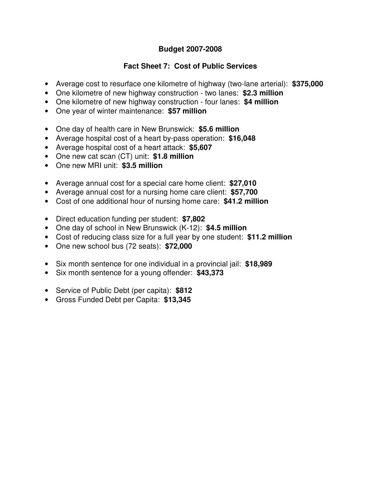### **Fact Sheet 7: Cost of Public Services**

- Average cost to resurface one kilometre of highway (two-lane arterial): **\$375,000**
- One kilometre of new highway construction two lanes: **\$2.3 million**
- One kilometre of new highway construction four lanes: **\$4 million**
- One year of winter maintenance: **\$57 million**
- One day of health care in New Brunswick: **\$5.6 million**
- Average hospital cost of a heart by-pass operation: **\$16,048**
- Average hospital cost of a heart attack: **\$5,607**
- One new cat scan (CT) unit: **\$1.8 million**
- One new MRI unit: **\$3.5 million**
- Average annual cost for a special care home client: **\$27,010**
- Average annual cost for a nursing home care client: **\$57,700**
- Cost of one additional hour of nursing home care: **\$41.2 million**
- Direct education funding per student: **\$7,802**
- One day of school in New Brunswick (K-12): **\$4.5 million**
- Cost of reducing class size for a full year by one student: **\$11.2 million**
- One new school bus (72 seats): **\$72,000**
- Six month sentence for one individual in a provincial jail: **\$18,989**
- Six month sentence for a young offender: **\$43,373**
- Service of Public Debt (per capita): **\$812**
- Gross Funded Debt per Capita: **\$13,345**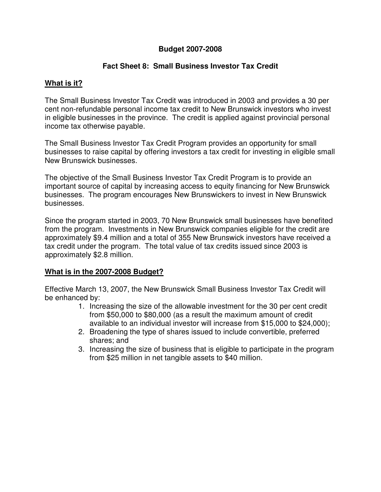#### **Fact Sheet 8: Small Business Investor Tax Credit**

#### **What is it?**

The Small Business Investor Tax Credit was introduced in 2003 and provides a 30 per cent non-refundable personal income tax credit to New Brunswick investors who invest in eligible businesses in the province. The credit is applied against provincial personal income tax otherwise payable.

The Small Business Investor Tax Credit Program provides an opportunity for small businesses to raise capital by offering investors a tax credit for investing in eligible small New Brunswick businesses.

The objective of the Small Business Investor Tax Credit Program is to provide an important source of capital by increasing access to equity financing for New Brunswick businesses. The program encourages New Brunswickers to invest in New Brunswick businesses.

Since the program started in 2003, 70 New Brunswick small businesses have benefited from the program. Investments in New Brunswick companies eligible for the credit are approximately \$9.4 million and a total of 355 New Brunswick investors have received a tax credit under the program. The total value of tax credits issued since 2003 is approximately \$2.8 million.

#### **What is in the 2007-2008 Budget?**

Effective March 13, 2007, the New Brunswick Small Business Investor Tax Credit will be enhanced by:

- 1. Increasing the size of the allowable investment for the 30 per cent credit from \$50,000 to \$80,000 (as a result the maximum amount of credit available to an individual investor will increase from \$15,000 to \$24,000);
- 2. Broadening the type of shares issued to include convertible, preferred shares; and
- 3. Increasing the size of business that is eligible to participate in the program from \$25 million in net tangible assets to \$40 million.